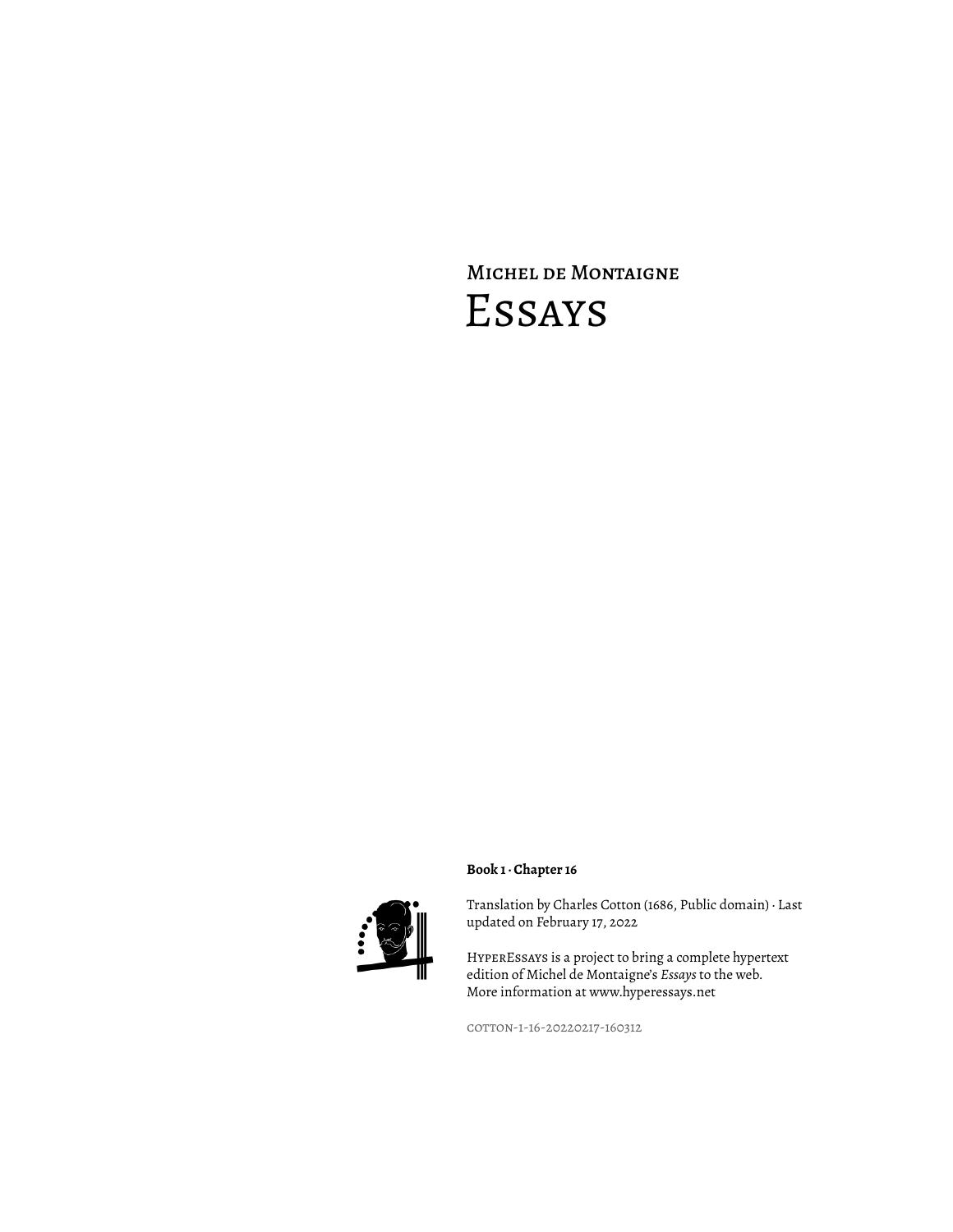## Michel de Montaigne Essays



Translation by Charles Cotton (1686, Public domain) · Last updated on February 17, 2022

HyperEssays is a project to bring a complete hypertext edition of Michel de Montaigne's *Essays* to the web. More information at www.hyperessays.net

cotton-1-16-20220217-160312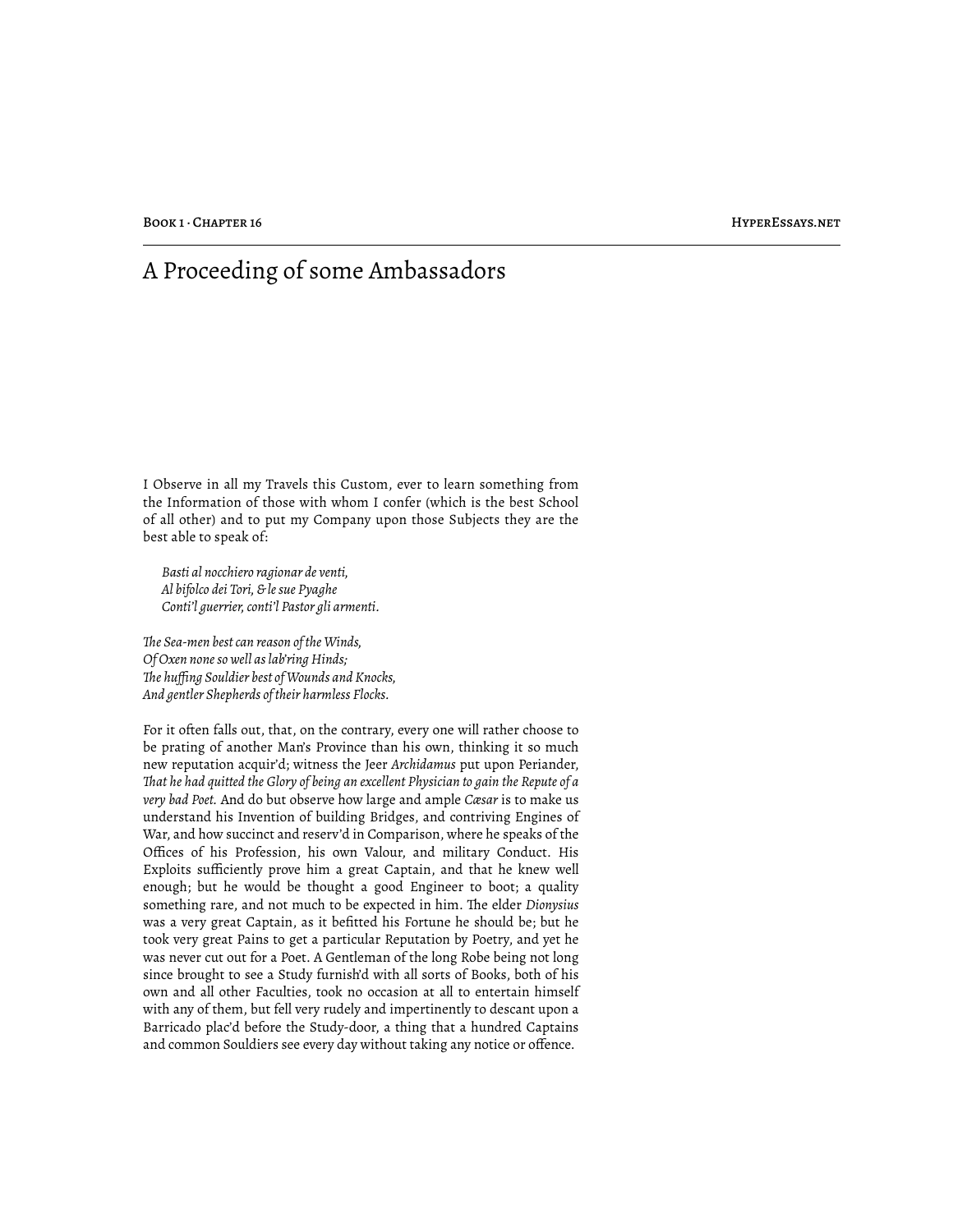## A Proceeding of some Ambassadors

I Observe in all my Travels this Custom, ever to learn something from the Information of those with whom I confer (which is the best School of all other) and to put my Company upon those Subjects they are the best able to speak of:

*Basti al nocchiero ragionar de venti, Al bifolco dei Tori, & le sue Pyaghe Conti'l guerrier, conti'l Pastor gli armenti.*

*!e Sea-men best can reason of the Winds, Of Oxen none so well as lab'ring Hinds; !e huffing Souldier best of Wounds and Knocks, And gentler Shepherds of their harmless Flocks.*

For it often falls out, that, on the contrary, every one will rather choose to be prating of another Man's Province than his own, thinking it so much new reputation acquir'd; witness the Jeer *Archidamus* put upon Periander, *!at he had quitted the Glory of being an excellent Physician to gain the Repute of a very bad Poet.* And do but observe how large and ample *Cæsar* is to make us understand his Invention of building Bridges, and contriving Engines of War, and how succinct and reserv'd in Comparison, where he speaks of the Offices of his Profession, his own Valour, and military Conduct. His Exploits sufficiently prove him a great Captain, and that he knew well enough; but he would be thought a good Engineer to boot; a quality something rare, and not much to be expected in him. The elder *Dionysius* was a very great Captain, as it befitted his Fortune he should be; but he took very great Pains to get a particular Reputation by Poetry, and yet he was never cut out for a Poet. A Gentleman of the long Robe being not long since brought to see a Study furnish'd with all sorts of Books, both of his own and all other Faculties, took no occasion at all to entertain himself with any of them, but fell very rudely and impertinently to descant upon a Barricado plac'd before the Study-door, a thing that a hundred Captains and common Souldiers see every day without taking any notice or offence.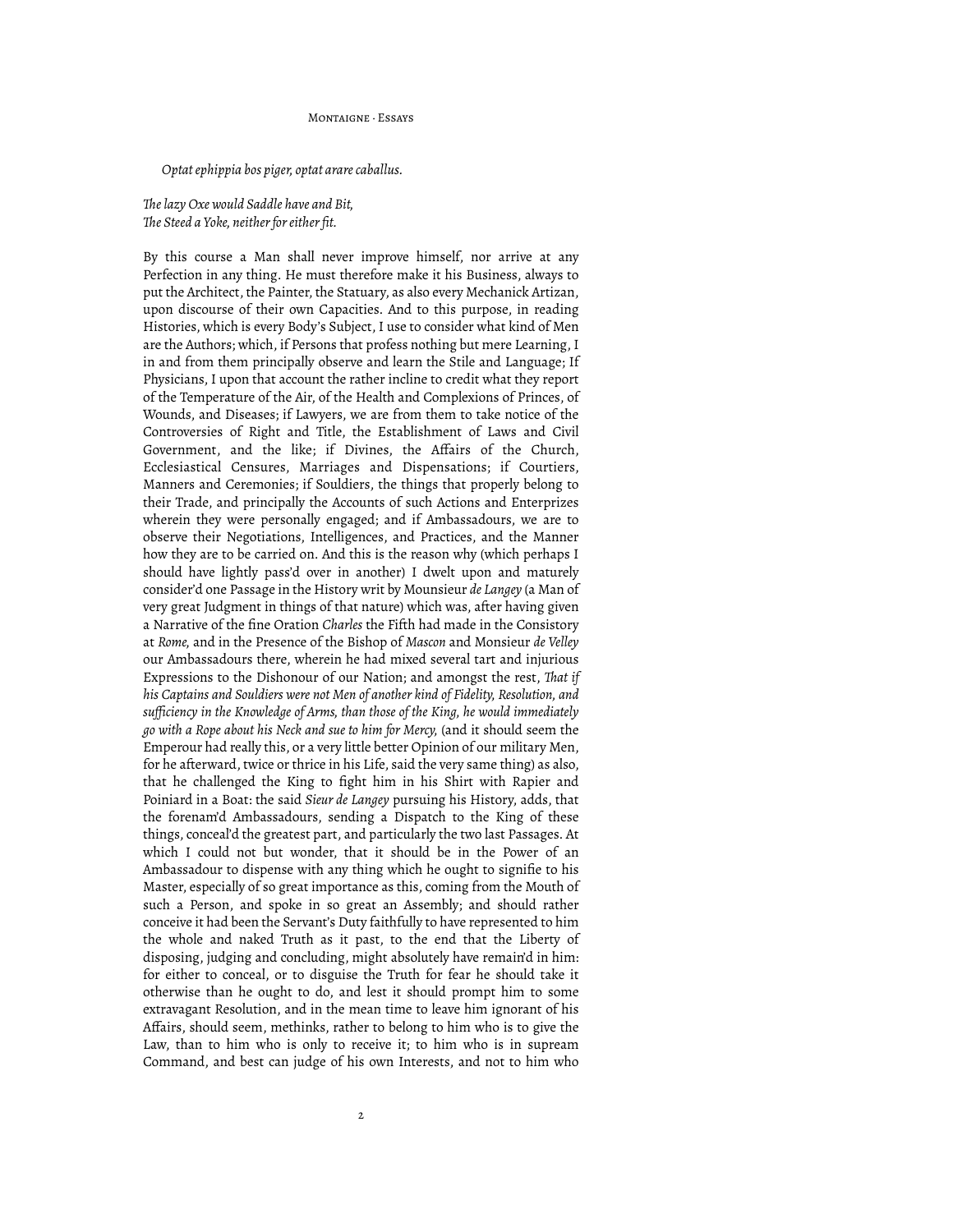MONTAIGNE, Feeave

*Optat ephippia bos piger, optat arare caballus.*

## *!e lazy Oxe would Saddle have and Bit, !e Steed a Yoke, neither for either fit.*

By this course a Man shall never improve himself, nor arrive at any Perfection in any thing. He must therefore make it his Business, always to put the Architect, the Painter, the Statuary, as also every Mechanick Artizan, upon discourse of their own Capacities. And to this purpose, in reading Histories, which is every Body's Subject, I use to consider what kind of Men are the Authors; which, if Persons that profess nothing but mere Learning, I in and from them principally observe and learn the Stile and Language; If Physicians, I upon that account the rather incline to credit what they report of the Temperature of the Air, of the Health and Complexions of Princes, of Wounds, and Diseases; if Lawyers, we are from them to take notice of the Controversies of Right and Title, the Establishment of Laws and Civil Government, and the like; if Divines, the Affairs of the Church, Ecclesiastical Censures, Marriages and Dispensations; if Courtiers, Manners and Ceremonies; if Souldiers, the things that properly belong to their Trade, and principally the Accounts of such Actions and Enterprizes wherein they were personally engaged; and if Ambassadours, we are to observe their Negotiations, Intelligences, and Practices, and the Manner how they are to be carried on. And this is the reason why (which perhaps I should have lightly pass'd over in another) I dwelt upon and maturely consider'd one Passage in the History writ by Mounsieur *de Langey* (a Man of very great Judgment in things of that nature) which was, after having given a Narrative of the fine Oration *Charles* the Fifth had made in the Consistory at *Rome,* and in the Presence of the Bishop of *Mascon* and Monsieur *de Velley* our Ambassadours there, wherein he had mixed several tart and injurious Expressions to the Dishonour of our Nation; and amongst the rest, *!at if his Captains and Souldiers were not Men of another kind of Fidelity, Resolution, and sufficiency in the Knowledge of Arms, than those of the King, he would immediately go with a Rope about his Neck and sue to him for Mercy,* (and it should seem the Emperour had really this, or a very little better Opinion of our military Men, for he afterward, twice or thrice in his Life, said the very same thing) as also, that he challenged the King to fight him in his Shirt with Rapier and Poiniard in a Boat: the said *Sieur de Langey* pursuing his History, adds, that the forenam'd Ambassadours, sending a Dispatch to the King of these things, conceal'd the greatest part, and particularly the two last Passages. At which I could not but wonder, that it should be in the Power of an Ambassadour to dispense with any thing which he ought to signifie to his Master, especially of so great importance as this, coming from the Mouth of such a Person, and spoke in so great an Assembly; and should rather conceive it had been the Servant's Duty faithfully to have represented to him the whole and naked Truth as it past, to the end that the Liberty of disposing, judging and concluding, might absolutely have remain'd in him: for either to conceal, or to disguise the Truth for fear he should take it otherwise than he ought to do, and lest it should prompt him to some extravagant Resolution, and in the mean time to leave him ignorant of his Affairs, should seem, methinks, rather to belong to him who is to give the Law, than to him who is only to receive it; to him who is in supream Command, and best can judge of his own Interests, and not to him who